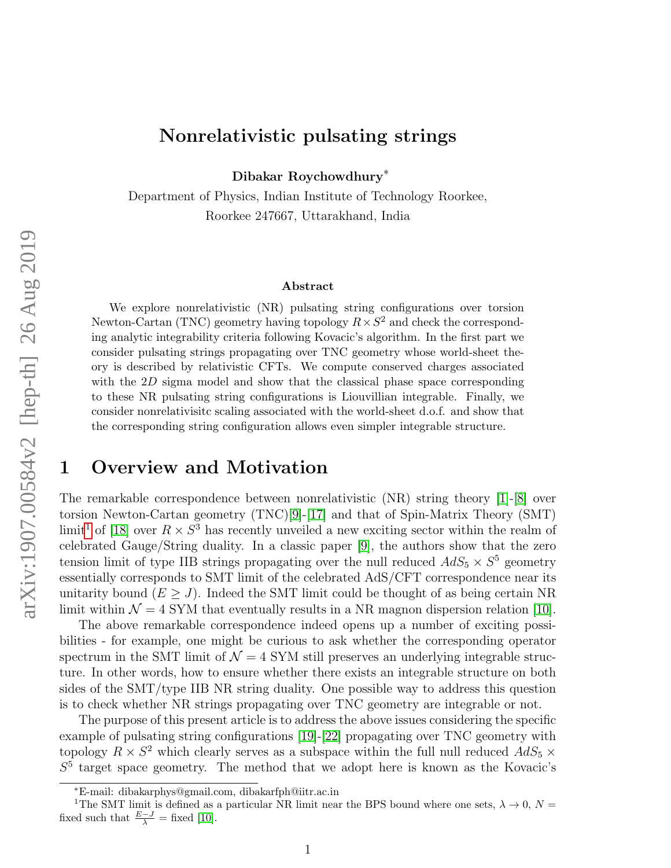# Nonrelativistic pulsating strings

Dibakar Roychowdhury<sup>∗</sup>

Department of Physics, Indian Institute of Technology Roorkee, Roorkee 247667, Uttarakhand, India

#### Abstract

We explore nonrelativistic (NR) pulsating string configurations over torsion Newton-Cartan (TNC) geometry having topology  $R \times S^2$  and check the corresponding analytic integrability criteria following Kovacic's algorithm. In the first part we consider pulsating strings propagating over TNC geometry whose world-sheet theory is described by relativistic CFTs. We compute conserved charges associated with the  $2D$  sigma model and show that the classical phase space corresponding to these NR pulsating string configurations is Liouvillian integrable. Finally, we consider nonrelativisitc scaling associated with the world-sheet d.o.f. and show that the corresponding string configuration allows even simpler integrable structure.

# 1 Overview and Motivation

The remarkable correspondence between nonrelativistic (NR) string theory [\[1\]](#page-9-0)-[\[8\]](#page-10-0) over torsion Newton-Cartan geometry (TNC)[\[9\]](#page-10-1)-[\[17\]](#page-11-0) and that of Spin-Matrix Theory (SMT) limit<sup>[1](#page-0-0)</sup> of [\[18\]](#page-11-1) over  $R \times S^3$  has recently unveiled a new exciting sector within the realm of celebrated Gauge/String duality. In a classic paper [\[9\]](#page-10-1), the authors show that the zero tension limit of type IIB strings propagating over the null reduced  $AdS_5 \times S^5$  geometry essentially corresponds to SMT limit of the celebrated AdS/CFT correspondence near its unitarity bound  $(E \geq J)$ . Indeed the SMT limit could be thought of as being certain NR limit within  $\mathcal{N} = 4$  SYM that eventually results in a NR magnon dispersion relation [\[10\]](#page-10-2).

The above remarkable correspondence indeed opens up a number of exciting possibilities - for example, one might be curious to ask whether the corresponding operator spectrum in the SMT limit of  $\mathcal{N} = 4$  SYM still preserves an underlying integrable structure. In other words, how to ensure whether there exists an integrable structure on both sides of the  $SMT/type$  IIB NR string duality. One possible way to address this question is to check whether NR strings propagating over TNC geometry are integrable or not.

The purpose of this present article is to address the above issues considering the specific example of pulsating string configurations [\[19\]](#page-11-2)-[\[22\]](#page-11-3) propagating over TNC geometry with topology  $R \times S^2$  which clearly serves as a subspace within the full null reduced  $AdS_5 \times$  $S<sup>5</sup>$  target space geometry. The method that we adopt here is known as the Kovacic's

<span id="page-0-0"></span><sup>∗</sup>E-mail: dibakarphys@gmail.com, dibakarfph@iitr.ac.in

<sup>&</sup>lt;sup>1</sup>The SMT limit is defined as a particular NR limit near the BPS bound where one sets,  $\lambda \to 0$ ,  $N =$ fixed such that  $\frac{E-J}{\lambda}$  = fixed [\[10\]](#page-10-2).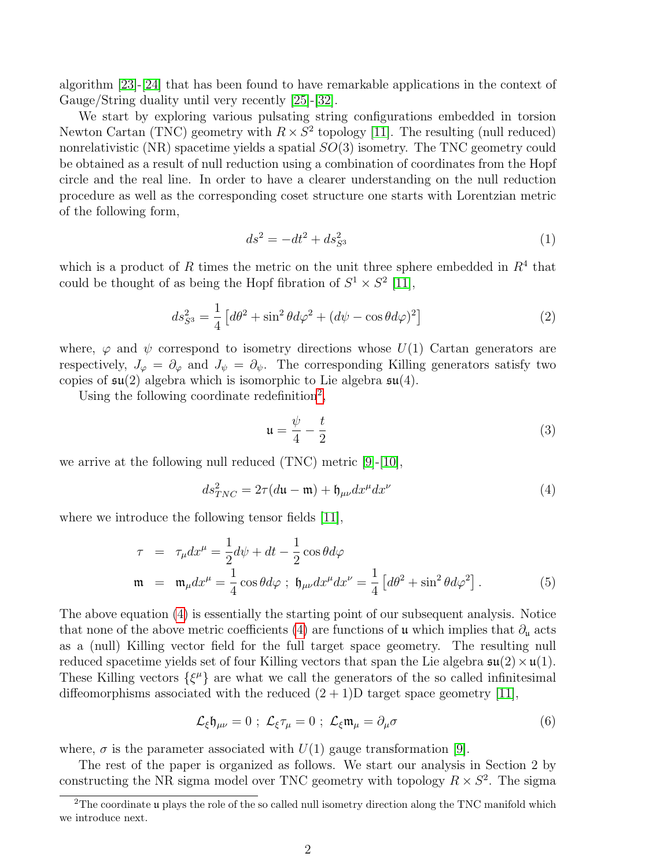algorithm [\[23\]](#page-11-4)-[\[24\]](#page-11-5) that has been found to have remarkable applications in the context of Gauge/String duality until very recently [\[25\]](#page-11-6)-[\[32\]](#page-12-0).

We start by exploring various pulsating string configurations embedded in torsion Newton Cartan (TNC) geometry with  $R \times S^2$  topology [\[11\]](#page-10-3). The resulting (null reduced) nonrelativistic  $(NR)$  spacetime yields a spatial  $SO(3)$  isometry. The TNC geometry could be obtained as a result of null reduction using a combination of coordinates from the Hopf circle and the real line. In order to have a clearer understanding on the null reduction procedure as well as the corresponding coset structure one starts with Lorentzian metric of the following form,

$$
ds^2 = -dt^2 + ds_{S^3}^2\tag{1}
$$

which is a product of R times the metric on the unit three sphere embedded in  $R<sup>4</sup>$  that could be thought of as being the Hopf fibration of  $S^1 \times S^2$  [\[11\]](#page-10-3),

$$
ds_{S^3}^2 = \frac{1}{4} \left[ d\theta^2 + \sin^2 \theta d\varphi^2 + (d\psi - \cos \theta d\varphi)^2 \right] \tag{2}
$$

where,  $\varphi$  and  $\psi$  correspond to isometry directions whose  $U(1)$  Cartan generators are respectively,  $J_{\varphi} = \partial_{\varphi}$  and  $J_{\psi} = \partial_{\psi}$ . The corresponding Killing generators satisfy two copies of  $\mathfrak{su}(2)$  algebra which is isomorphic to Lie algebra  $\mathfrak{su}(4)$ .

Using the following coordinate redefinition<sup>[2](#page-1-0)</sup>,

<span id="page-1-2"></span>
$$
\mathfrak{u} = \frac{\psi}{4} - \frac{t}{2} \tag{3}
$$

we arrive at the following null reduced (TNC) metric [\[9\]](#page-10-1)-[\[10\]](#page-10-2),

<span id="page-1-1"></span>
$$
ds_{TNC}^2 = 2\tau (d\mathfrak{u} - \mathfrak{m}) + \mathfrak{h}_{\mu\nu} dx^{\mu} dx^{\nu}
$$
 (4)

where we introduce the following tensor fields [\[11\]](#page-10-3),

$$
\tau = \tau_{\mu} dx^{\mu} = \frac{1}{2} d\psi + dt - \frac{1}{2} \cos \theta d\varphi
$$
  
\n
$$
\mathfrak{m} = \mathfrak{m}_{\mu} dx^{\mu} = \frac{1}{4} \cos \theta d\varphi ; \mathfrak{h}_{\mu\nu} dx^{\mu} dx^{\nu} = \frac{1}{4} [d\theta^{2} + \sin^{2} \theta d\varphi^{2}].
$$
 (5)

The above equation [\(4\)](#page-1-1) is essentially the starting point of our subsequent analysis. Notice that none of the above metric coefficients [\(4\)](#page-1-1) are functions of u which implies that  $\partial_{\mu}$  acts as a (null) Killing vector field for the full target space geometry. The resulting null reduced spacetime yields set of four Killing vectors that span the Lie algebra  $\mathfrak{su}(2) \times \mathfrak{u}(1)$ . These Killing vectors  $\{\xi^{\mu}\}\$ are what we call the generators of the so called infinitesimal diffeomorphisms associated with the reduced  $(2 + 1)D$  target space geometry [\[11\]](#page-10-3),

$$
\mathcal{L}_{\xi}\mathfrak{h}_{\mu\nu}=0\;;\;\mathcal{L}_{\xi}\tau_{\mu}=0\;;\;\mathcal{L}_{\xi}\mathfrak{m}_{\mu}=\partial_{\mu}\sigma\qquad \qquad (6)
$$

where,  $\sigma$  is the parameter associated with  $U(1)$  gauge transformation [\[9\]](#page-10-1).

The rest of the paper is organized as follows. We start our analysis in Section 2 by constructing the NR sigma model over TNC geometry with topology  $R \times S^2$ . The sigma

<span id="page-1-0"></span> $2^2$ The coordinate u plays the role of the so called null isometry direction along the TNC manifold which we introduce next.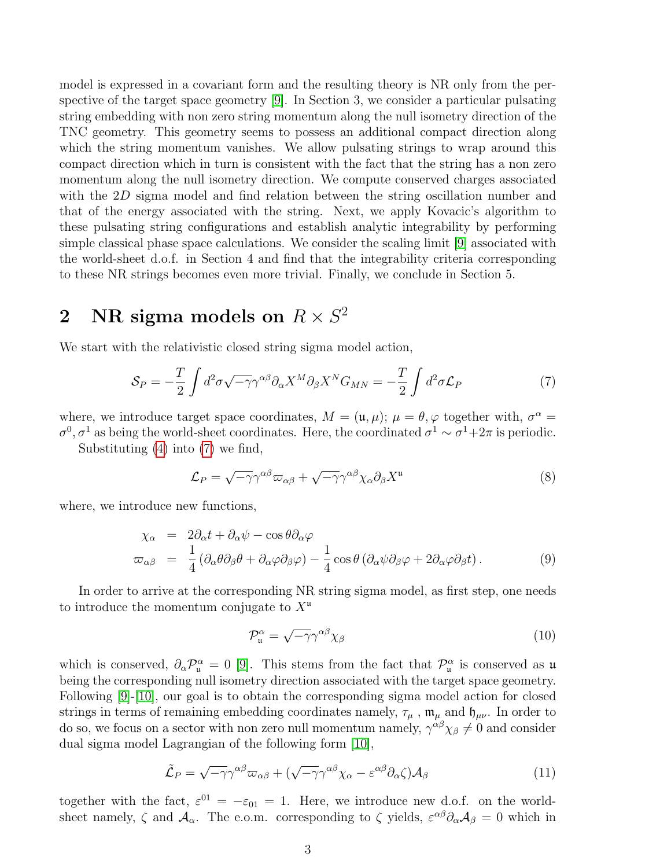model is expressed in a covariant form and the resulting theory is NR only from the perspective of the target space geometry [\[9\]](#page-10-1). In Section 3, we consider a particular pulsating string embedding with non zero string momentum along the null isometry direction of the TNC geometry. This geometry seems to possess an additional compact direction along which the string momentum vanishes. We allow pulsating strings to wrap around this compact direction which in turn is consistent with the fact that the string has a non zero momentum along the null isometry direction. We compute conserved charges associated with the 2D sigma model and find relation between the string oscillation number and that of the energy associated with the string. Next, we apply Kovacic's algorithm to these pulsating string configurations and establish analytic integrability by performing simple classical phase space calculations. We consider the scaling limit [\[9\]](#page-10-1) associated with the world-sheet d.o.f. in Section 4 and find that the integrability criteria corresponding to these NR strings becomes even more trivial. Finally, we conclude in Section 5.

# 2 NR sigma models on  $R \times S^2$

We start with the relativistic closed string sigma model action,

<span id="page-2-0"></span>
$$
S_P = -\frac{T}{2} \int d^2 \sigma \sqrt{-\gamma} \gamma^{\alpha \beta} \partial_\alpha X^M \partial_\beta X^N G_{MN} = -\frac{T}{2} \int d^2 \sigma \mathcal{L}_P \tag{7}
$$

where, we introduce target space coordinates,  $M = (\mathfrak{u}, \mu); \mu = \theta, \varphi$  together with,  $\sigma^{\alpha} =$  $\sigma^0$ ,  $\sigma^1$  as being the world-sheet coordinates. Here, the coordinated  $\sigma^1 \sim \sigma^1 + 2\pi$  is periodic.

Substituting [\(4\)](#page-1-1) into [\(7\)](#page-2-0) we find,

<span id="page-2-2"></span>
$$
\mathcal{L}_P = \sqrt{-\gamma} \gamma^{\alpha \beta} \varpi_{\alpha \beta} + \sqrt{-\gamma} \gamma^{\alpha \beta} \chi_\alpha \partial_\beta X^\mu \tag{8}
$$

where, we introduce new functions,

$$
\chi_{\alpha} = 2\partial_{\alpha}t + \partial_{\alpha}\psi - \cos\theta\partial_{\alpha}\varphi
$$
\n
$$
\varpi_{\alpha\beta} = \frac{1}{4}(\partial_{\alpha}\theta\partial_{\beta}\theta + \partial_{\alpha}\varphi\partial_{\beta}\varphi) - \frac{1}{4}\cos\theta(\partial_{\alpha}\psi\partial_{\beta}\varphi + 2\partial_{\alpha}\varphi\partial_{\beta}t). \tag{9}
$$

In order to arrive at the corresponding NR string sigma model, as first step, one needs to introduce the momentum conjugate to  $X^{\mu}$ 

$$
\mathcal{P}_{\mathfrak{u}}^{\alpha} = \sqrt{-\gamma} \gamma^{\alpha \beta} \chi_{\beta} \tag{10}
$$

which is conserved,  $\partial_{\alpha}P^{\alpha}_{\mu} = 0$  [\[9\]](#page-10-1). This stems from the fact that  $\mathcal{P}^{\alpha}_{\mu}$  is conserved as  $\mu$ being the corresponding null isometry direction associated with the target space geometry. Following [\[9\]](#page-10-1)-[\[10\]](#page-10-2), our goal is to obtain the corresponding sigma model action for closed strings in terms of remaining embedding coordinates namely,  $\tau_{\mu}$ ,  $\mathfrak{m}_{\mu}$  and  $\mathfrak{h}_{\mu\nu}$ . In order to do so, we focus on a sector with non zero null momentum namely,  $\gamma^{\alpha\beta}\chi_{\beta} \neq 0$  and consider dual sigma model Lagrangian of the following form [\[10\]](#page-10-2),

<span id="page-2-1"></span>
$$
\tilde{\mathcal{L}}_P = \sqrt{-\gamma} \gamma^{\alpha \beta} \varpi_{\alpha \beta} + (\sqrt{-\gamma} \gamma^{\alpha \beta} \chi_\alpha - \varepsilon^{\alpha \beta} \partial_\alpha \zeta) \mathcal{A}_\beta \tag{11}
$$

together with the fact,  $\varepsilon^{01} = -\varepsilon_{01} = 1$ . Here, we introduce new d.o.f. on the worldsheet namely,  $\zeta$  and  $\mathcal{A}_{\alpha}$ . The e.o.m. corresponding to  $\zeta$  yields,  $\varepsilon^{\alpha\beta}\partial_{\alpha}\mathcal{A}_{\beta}=0$  which in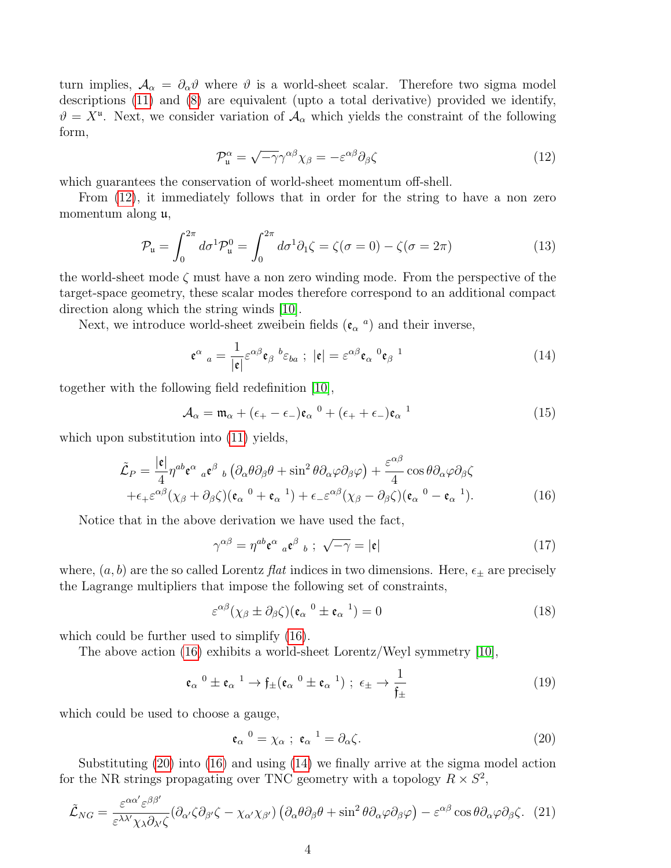turn implies,  $A_{\alpha} = \partial_{\alpha} \vartheta$  where  $\vartheta$  is a world-sheet scalar. Therefore two sigma model descriptions [\(11\)](#page-2-1) and [\(8\)](#page-2-2) are equivalent (upto a total derivative) provided we identify,  $\vartheta = X^{\mu}$ . Next, we consider variation of  $\mathcal{A}_{\alpha}$  which yields the constraint of the following form,

<span id="page-3-0"></span>
$$
\mathcal{P}_{\mathfrak{u}}^{\alpha} = \sqrt{-\gamma} \gamma^{\alpha \beta} \chi_{\beta} = -\varepsilon^{\alpha \beta} \partial_{\beta} \zeta \tag{12}
$$

which guarantees the conservation of world-sheet momentum off-shell.

From [\(12\)](#page-3-0), it immediately follows that in order for the string to have a non zero momentum along u,

<span id="page-3-4"></span>
$$
\mathcal{P}_{\mathfrak{u}} = \int_0^{2\pi} d\sigma^1 \mathcal{P}_{\mathfrak{u}}^0 = \int_0^{2\pi} d\sigma^1 \partial_1 \zeta = \zeta(\sigma = 0) - \zeta(\sigma = 2\pi) \tag{13}
$$

the world-sheet mode  $\zeta$  must have a non zero winding mode. From the perspective of the target-space geometry, these scalar modes therefore correspond to an additional compact direction along which the string winds  $(10)$ .

Next, we introduce world-sheet zweibein fields  $(\mathfrak{e}_{\alpha}^{\ a})$  and their inverse,

<span id="page-3-3"></span>
$$
\mathbf{e}^{\alpha}{}_{a} = \frac{1}{|\mathbf{e}|} \varepsilon^{\alpha \beta} \mathbf{e}_{\beta}{}^{b} \varepsilon_{ba} ; \ |\mathbf{e}| = \varepsilon^{\alpha \beta} \mathbf{e}_{\alpha}{}^{0} \mathbf{e}_{\beta}{}^{1}
$$
 (14)

together with the following field redefinition [\[10\]](#page-10-2),

$$
\mathcal{A}_{\alpha} = \mathfrak{m}_{\alpha} + (\epsilon_{+} - \epsilon_{-})\mathfrak{e}_{\alpha}^{0} + (\epsilon_{+} + \epsilon_{-})\mathfrak{e}_{\alpha}^{1} \tag{15}
$$

which upon substitution into  $(11)$  yields,

<span id="page-3-1"></span>
$$
\tilde{\mathcal{L}}_{P} = \frac{|\mathbf{\varepsilon}|}{4} \eta^{ab} \mathbf{\varepsilon}^{\alpha}{}_{a} \mathbf{\varepsilon}^{\beta}{}_{b} \left( \partial_{\alpha} \theta \partial_{\beta} \theta + \sin^{2} \theta \partial_{\alpha} \varphi \partial_{\beta} \varphi \right) + \frac{\varepsilon^{\alpha \beta}}{4} \cos \theta \partial_{\alpha} \varphi \partial_{\beta} \zeta
$$
\n
$$
+ \epsilon_{+} \varepsilon^{\alpha \beta} (\chi_{\beta} + \partial_{\beta} \zeta) (\mathbf{\varepsilon}_{\alpha}{}^{0} + \mathbf{\varepsilon}_{\alpha}{}^{1}) + \epsilon_{-} \varepsilon^{\alpha \beta} (\chi_{\beta} - \partial_{\beta} \zeta) (\mathbf{\varepsilon}_{\alpha}{}^{0} - \mathbf{\varepsilon}_{\alpha}{}^{1}). \tag{16}
$$

Notice that in the above derivation we have used the fact,

$$
\gamma^{\alpha\beta} = \eta^{ab} \mathfrak{e}^{\alpha}{}_{a} \mathfrak{e}^{\beta}{}_{b} ; \sqrt{-\gamma} = |\mathfrak{e}| \tag{17}
$$

where,  $(a, b)$  are the so called Lorentz *flat* indices in two dimensions. Here,  $\epsilon_{\pm}$  are precisely the Lagrange multipliers that impose the following set of constraints,

$$
\varepsilon^{\alpha\beta}(\chi_{\beta}\pm\partial_{\beta}\zeta)(\mathfrak{e}_{\alpha}^{0}\pm\mathfrak{e}_{\alpha}^{1})=0
$$
\n(18)

which could be further used to simplify [\(16\)](#page-3-1).

The above action [\(16\)](#page-3-1) exhibits a world-sheet Lorentz/Weyl symmetry [\[10\]](#page-10-2),

$$
\mathfrak{e}_{\alpha}^{0} \pm \mathfrak{e}_{\alpha}^{1} \to \mathfrak{f}_{\pm}(\mathfrak{e}_{\alpha}^{0} \pm \mathfrak{e}_{\alpha}^{1}) ; \ \epsilon_{\pm} \to \frac{1}{\mathfrak{f}_{\pm}}
$$
 (19)

which could be used to choose a gauge,

<span id="page-3-2"></span>
$$
\mathfrak{e}_{\alpha}^0 = \chi_{\alpha} \; ; \; \mathfrak{e}_{\alpha}^{-1} = \partial_{\alpha} \zeta. \tag{20}
$$

Substituting [\(20\)](#page-3-2) into [\(16\)](#page-3-1) and using [\(14\)](#page-3-3) we finally arrive at the sigma model action for the NR strings propagating over TNC geometry with a topology  $R \times S^2$ ,

<span id="page-3-5"></span>
$$
\tilde{\mathcal{L}}_{NG} = \frac{\varepsilon^{\alpha\alpha'}\varepsilon^{\beta\beta'}}{\varepsilon^{\lambda\lambda'}\chi_{\lambda}\partial_{\lambda'}\zeta} \left(\partial_{\alpha'}\zeta\partial_{\beta'}\zeta - \chi_{\alpha'}\chi_{\beta'}\right) \left(\partial_{\alpha}\theta\partial_{\beta}\theta + \sin^2\theta\partial_{\alpha}\varphi\partial_{\beta}\varphi\right) - \varepsilon^{\alpha\beta}\cos\theta\partial_{\alpha}\varphi\partial_{\beta}\zeta. \tag{21}
$$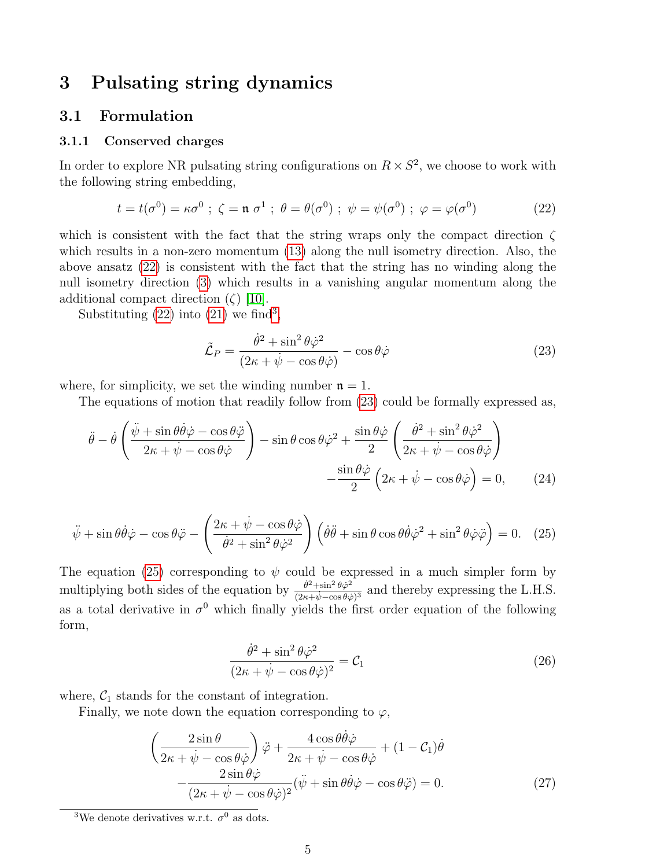### 3 Pulsating string dynamics

### 3.1 Formulation

### 3.1.1 Conserved charges

In order to explore NR pulsating string configurations on  $R \times S^2$ , we choose to work with the following string embedding,

<span id="page-4-0"></span>
$$
t = t(\sigma^0) = \kappa \sigma^0 \; ; \; \zeta = \mathfrak{n} \; \sigma^1 \; ; \; \theta = \theta(\sigma^0) \; ; \; \psi = \psi(\sigma^0) \; ; \; \varphi = \varphi(\sigma^0) \tag{22}
$$

which is consistent with the fact that the string wraps only the compact direction  $\zeta$ which results in a non-zero momentum  $(13)$  along the null isometry direction. Also, the above ansatz [\(22\)](#page-4-0) is consistent with the fact that the string has no winding along the null isometry direction [\(3\)](#page-1-2) which results in a vanishing angular momentum along the additional compact direction  $(\zeta)$  [\[10\]](#page-10-2).

Substituting  $(22)$  into  $(21)$  we find<sup>[3](#page-4-1)</sup>,

<span id="page-4-2"></span>
$$
\tilde{\mathcal{L}}_P = \frac{\dot{\theta}^2 + \sin^2 \theta \dot{\varphi}^2}{(2\kappa + \dot{\psi} - \cos \theta \dot{\varphi})} - \cos \theta \dot{\varphi}
$$
\n(23)

where, for simplicity, we set the winding number  $n = 1$ .

The equations of motion that readily follow from [\(23\)](#page-4-2) could be formally expressed as,

<span id="page-4-5"></span>
$$
\ddot{\theta} - \dot{\theta} \left( \frac{\ddot{\psi} + \sin \theta \dot{\theta} \dot{\varphi} - \cos \theta \ddot{\varphi}}{2\kappa + \dot{\psi} - \cos \theta \dot{\varphi}} \right) - \sin \theta \cos \theta \dot{\varphi}^{2} + \frac{\sin \theta \dot{\varphi}}{2} \left( \frac{\dot{\theta}^{2} + \sin^{2} \theta \dot{\varphi}^{2}}{2\kappa + \dot{\psi} - \cos \theta \dot{\varphi}} \right) - \frac{\sin \theta \dot{\varphi}}{2} \left( 2\kappa + \dot{\psi} - \cos \theta \dot{\varphi} \right) = 0, \qquad (24)
$$

<span id="page-4-3"></span>
$$
\ddot{\psi} + \sin\theta \dot{\theta}\dot{\varphi} - \cos\theta \ddot{\varphi} - \left(\frac{2\kappa + \dot{\psi} - \cos\theta \dot{\varphi}}{\dot{\theta}^2 + \sin^2\theta \dot{\varphi}^2}\right) \left(\dot{\theta}\ddot{\theta} + \sin\theta\cos\theta \dot{\theta}\dot{\varphi}^2 + \sin^2\theta \dot{\varphi}\ddot{\varphi}\right) = 0. \quad (25)
$$

The equation [\(25\)](#page-4-3) corresponding to  $\psi$  could be expressed in a much simpler form by multiplying both sides of the equation by  $\frac{\dot{\theta}^2 + \sin^2 \theta \dot{\varphi}^2}{(2\pi + \phi^2 - \cos \theta)^2}$  $\frac{\theta^2 + \sin^2 \theta \varphi^2}{(2\kappa + \psi - \cos \theta \varphi)^3}$  and thereby expressing the L.H.S. as a total derivative in  $\sigma^0$  which finally yields the first order equation of the following form,

<span id="page-4-6"></span>
$$
\frac{\dot{\theta}^2 + \sin^2 \theta \dot{\varphi}^2}{(2\kappa + \dot{\psi} - \cos \theta \dot{\varphi})^2} = \mathcal{C}_1
$$
\n(26)

where,  $C_1$  stands for the constant of integration.

Finally, we note down the equation corresponding to  $\varphi$ ,

<span id="page-4-4"></span>
$$
\left(\frac{2\sin\theta}{2\kappa + \dot{\psi} - \cos\theta\dot{\varphi}}\right)\ddot{\varphi} + \frac{4\cos\theta\dot{\theta}\dot{\varphi}}{2\kappa + \dot{\psi} - \cos\theta\dot{\varphi}} + (1 - \mathcal{C}_1)\dot{\theta} \n- \frac{2\sin\theta\dot{\varphi}}{(2\kappa + \dot{\psi} - \cos\theta\dot{\varphi})^2}(\ddot{\psi} + \sin\theta\dot{\theta}\dot{\varphi} - \cos\theta\ddot{\varphi}) = 0.
$$
\n(27)

<span id="page-4-1"></span><sup>&</sup>lt;sup>3</sup>We denote derivatives w.r.t.  $\sigma^0$  as dots.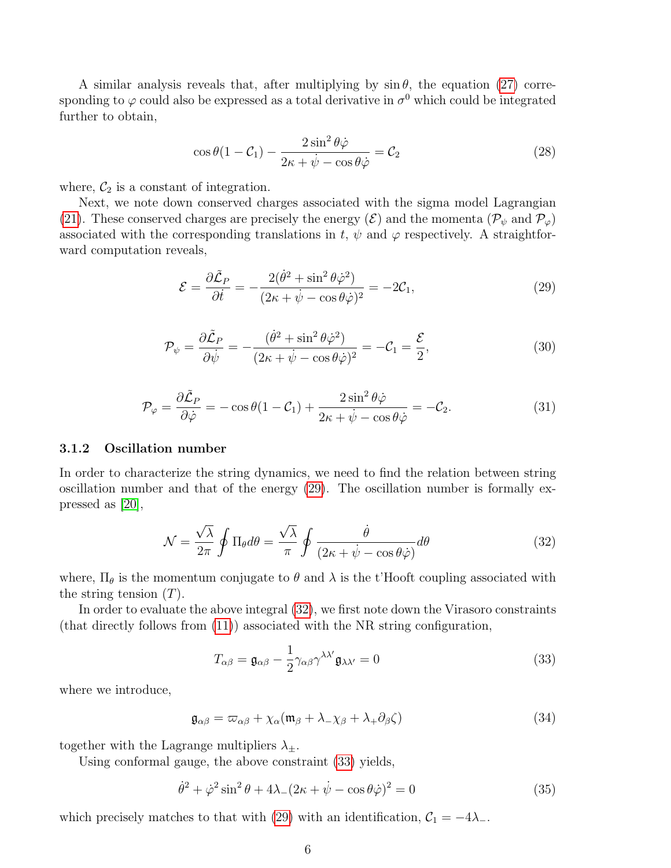A similar analysis reveals that, after multiplying by  $\sin \theta$ , the equation [\(27\)](#page-4-4) corresponding to  $\varphi$  could also be expressed as a total derivative in  $\sigma^0$  which could be integrated further to obtain,

$$
\cos\theta(1-\mathcal{C}_1) - \frac{2\sin^2\theta\dot{\varphi}}{2\kappa + \dot{\psi} - \cos\theta\dot{\varphi}} = \mathcal{C}_2
$$
\n(28)

where,  $C_2$  is a constant of integration.

Next, we note down conserved charges associated with the sigma model Lagrangian [\(21\)](#page-3-5). These conserved charges are precisely the energy  $(\mathcal{E})$  and the momenta  $(\mathcal{P}_{\psi} \text{ and } \mathcal{P}_{\varphi})$ associated with the corresponding translations in t,  $\psi$  and  $\varphi$  respectively. A straightforward computation reveals,

<span id="page-5-0"></span>
$$
\mathcal{E} = \frac{\partial \tilde{\mathcal{L}}_P}{\partial \dot{t}} = -\frac{2(\dot{\theta}^2 + \sin^2 \theta \dot{\varphi}^2)}{(2\kappa + \dot{\psi} - \cos \theta \dot{\varphi})^2} = -2\mathcal{C}_1,\tag{29}
$$

$$
\mathcal{P}_{\psi} = \frac{\partial \tilde{\mathcal{L}}_P}{\partial \dot{\psi}} = -\frac{(\dot{\theta}^2 + \sin^2 \theta \dot{\varphi}^2)}{(2\kappa + \dot{\psi} - \cos \theta \dot{\varphi})^2} = -\mathcal{C}_1 = \frac{\mathcal{E}}{2},\tag{30}
$$

$$
\mathcal{P}_{\varphi} = \frac{\partial \tilde{\mathcal{L}}_P}{\partial \dot{\varphi}} = -\cos \theta (1 - \mathcal{C}_1) + \frac{2 \sin^2 \theta \dot{\varphi}}{2\kappa + \dot{\psi} - \cos \theta \dot{\varphi}} = -\mathcal{C}_2.
$$
\n(31)

#### 3.1.2 Oscillation number

In order to characterize the string dynamics, we need to find the relation between string oscillation number and that of the energy  $(29)$ . The oscillation number is formally expressed as [\[20\]](#page-11-7),

<span id="page-5-1"></span>
$$
\mathcal{N} = \frac{\sqrt{\lambda}}{2\pi} \oint \Pi_{\theta} d\theta = \frac{\sqrt{\lambda}}{\pi} \oint \frac{\dot{\theta}}{(2\kappa + \dot{\psi} - \cos\theta\dot{\varphi})} d\theta \tag{32}
$$

where,  $\Pi_{\theta}$  is the momentum conjugate to  $\theta$  and  $\lambda$  is the t'Hooft coupling associated with the string tension  $(T)$ .

In order to evaluate the above integral [\(32\)](#page-5-1), we first note down the Virasoro constraints (that directly follows from [\(11\)](#page-2-1)) associated with the NR string configuration,

<span id="page-5-2"></span>
$$
T_{\alpha\beta} = \mathfrak{g}_{\alpha\beta} - \frac{1}{2} \gamma_{\alpha\beta} \gamma^{\lambda\lambda'} \mathfrak{g}_{\lambda\lambda'} = 0
$$
\n(33)

where we introduce,

$$
\mathfrak{g}_{\alpha\beta} = \varpi_{\alpha\beta} + \chi_{\alpha}(\mathfrak{m}_{\beta} + \lambda_{-\chi\beta} + \lambda_{+}\partial_{\beta}\zeta)
$$
(34)

together with the Lagrange multipliers  $\lambda_{\pm}$ .

Using conformal gauge, the above constraint [\(33\)](#page-5-2) yields,

<span id="page-5-3"></span>
$$
\dot{\theta}^2 + \dot{\varphi}^2 \sin^2 \theta + 4\lambda (2\kappa + \dot{\psi} - \cos \theta \dot{\varphi})^2 = 0
$$
\n(35)

which precisely matches to that with [\(29\)](#page-5-0) with an identification,  $C_1 = -4\lambda_-\lambda$ .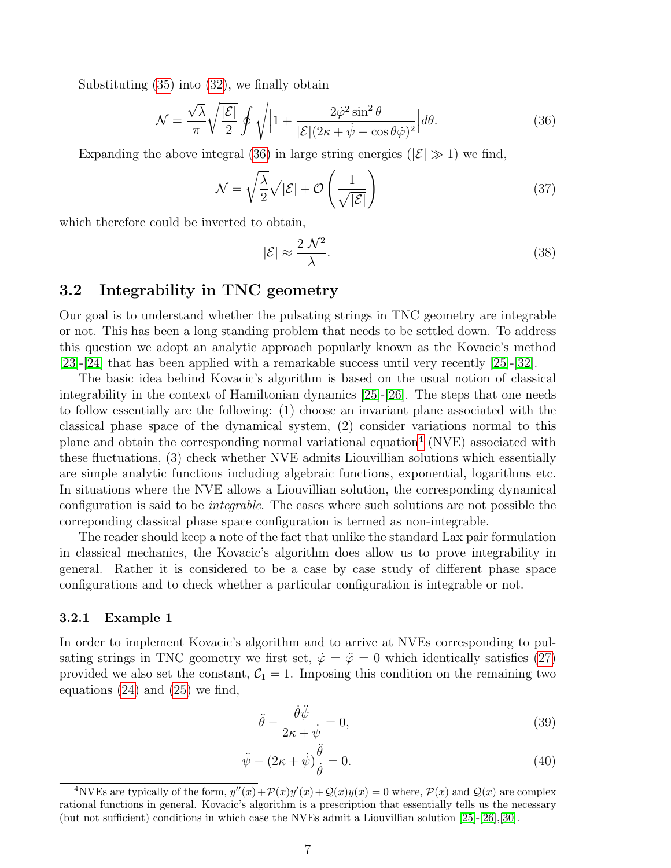Substituting [\(35\)](#page-5-3) into [\(32\)](#page-5-1), we finally obtain

<span id="page-6-0"></span>
$$
\mathcal{N} = \frac{\sqrt{\lambda}}{\pi} \sqrt{\frac{|\mathcal{E}|}{2}} \oint \sqrt{\left|1 + \frac{2\dot{\varphi}^2 \sin^2 \theta}{|\mathcal{E}| (2\kappa + \dot{\psi} - \cos \theta \dot{\varphi})^2} \right|} d\theta.
$$
 (36)

Expanding the above integral [\(36\)](#page-6-0) in large string energies ( $|\mathcal{E}| \gg 1$ ) we find,

$$
\mathcal{N} = \sqrt{\frac{\lambda}{2}}\sqrt{|\mathcal{E}|} + \mathcal{O}\left(\frac{1}{\sqrt{|\mathcal{E}|}}\right)
$$
\n(37)

which therefore could be inverted to obtain,

$$
|\mathcal{E}| \approx \frac{2\,\mathcal{N}^2}{\lambda}.\tag{38}
$$

### 3.2 Integrability in TNC geometry

Our goal is to understand whether the pulsating strings in TNC geometry are integrable or not. This has been a long standing problem that needs to be settled down. To address this question we adopt an analytic approach popularly known as the Kovacic's method [\[23\]](#page-11-4)-[\[24\]](#page-11-5) that has been applied with a remarkable success until very recently [\[25\]](#page-11-6)-[\[32\]](#page-12-0).

The basic idea behind Kovacic's algorithm is based on the usual notion of classical integrability in the context of Hamiltonian dynamics  $[25]$ - $[26]$ . The steps that one needs to follow essentially are the following: (1) choose an invariant plane associated with the classical phase space of the dynamical system, (2) consider variations normal to this plane and obtain the corresponding normal variational equation[4](#page-6-1) (NVE) associated with these fluctuations, (3) check whether NVE admits Liouvillian solutions which essentially are simple analytic functions including algebraic functions, exponential, logarithms etc. In situations where the NVE allows a Liouvillian solution, the corresponding dynamical configuration is said to be integrable. The cases where such solutions are not possible the correponding classical phase space configuration is termed as non-integrable.

The reader should keep a note of the fact that unlike the standard Lax pair formulation in classical mechanics, the Kovacic's algorithm does allow us to prove integrability in general. Rather it is considered to be a case by case study of different phase space configurations and to check whether a particular configuration is integrable or not.

#### 3.2.1 Example 1

In order to implement Kovacic's algorithm and to arrive at NVEs corresponding to pulsating strings in TNC geometry we first set,  $\dot{\varphi} = \ddot{\varphi} = 0$  which identically satisfies [\(27\)](#page-4-4) provided we also set the constant,  $C_1 = 1$ . Imposing this condition on the remaining two equations [\(24\)](#page-4-5) and [\(25\)](#page-4-3) we find,

<span id="page-6-2"></span>
$$
\ddot{\theta} - \frac{\dot{\theta}\ddot{\psi}}{2\kappa + \dot{\psi}} = 0,\tag{39}
$$

$$
\ddot{\psi} - (2\kappa + \dot{\psi})\frac{\ddot{\theta}}{\dot{\theta}} = 0.
$$
\n(40)

<span id="page-6-1"></span><sup>&</sup>lt;sup>4</sup>NVEs are typically of the form,  $y''(x) + \mathcal{P}(x)y'(x) + \mathcal{Q}(x)y(x) = 0$  where,  $\mathcal{P}(x)$  and  $\mathcal{Q}(x)$  are complex rational functions in general. Kovacic's algorithm is a prescription that essentially tells us the necessary (but not sufficient) conditions in which case the NVEs admit a Liouvillian solution [\[25\]](#page-11-6)-[\[26\]](#page-11-8),[\[30\]](#page-11-9).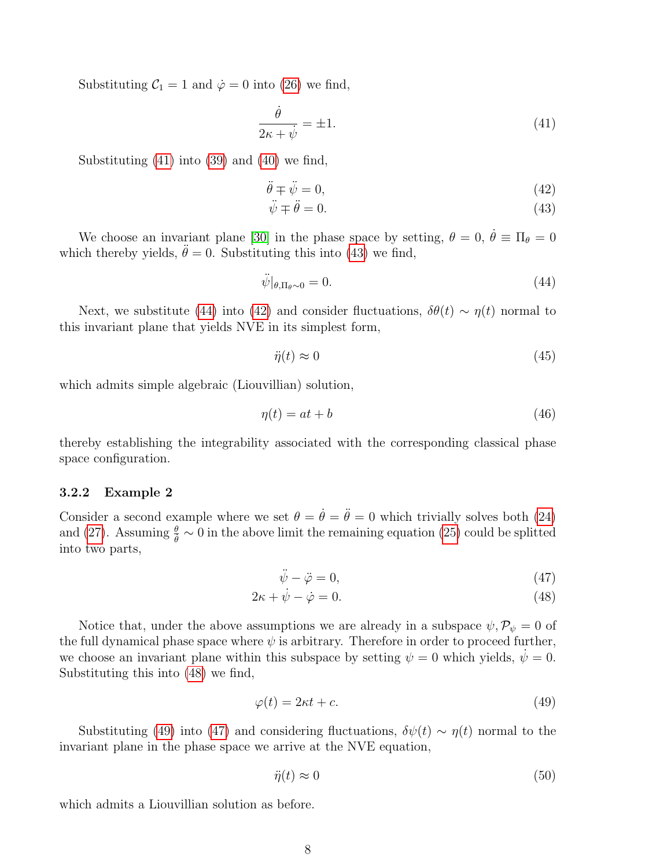Substituting  $C_1 = 1$  and  $\dot{\varphi} = 0$  into [\(26\)](#page-4-6) we find,

<span id="page-7-0"></span>
$$
\frac{\dot{\theta}}{2\kappa + \dot{\psi}} = \pm 1.
$$
\n(41)

Substituting [\(41\)](#page-7-0) into [\(39\)](#page-6-2) and [\(40\)](#page-6-2) we find,

<span id="page-7-1"></span>
$$
\ddot{\theta} \mp \ddot{\psi} = 0,\tag{42}
$$

$$
\ddot{\psi} \mp \ddot{\theta} = 0. \tag{43}
$$

We choose an invariant plane [\[30\]](#page-11-9) in the phase space by setting,  $\theta = 0$ ,  $\dot{\theta} \equiv \Pi_{\theta} = 0$ which thereby yields,  $\ddot{\theta} = 0$ . Substituting this into [\(43\)](#page-7-1) we find,

<span id="page-7-2"></span>
$$
\ddot{\psi}|_{\theta,\Pi_{\theta}\sim 0} = 0. \tag{44}
$$

Next, we substitute [\(44\)](#page-7-2) into [\(42\)](#page-7-1) and consider fluctuations,  $\delta\theta(t) \sim \eta(t)$  normal to this invariant plane that yields NVE in its simplest form,

$$
\ddot{\eta}(t) \approx 0 \tag{45}
$$

which admits simple algebraic (Liouvillian) solution,

$$
\eta(t) = at + b \tag{46}
$$

thereby establishing the integrability associated with the corresponding classical phase space configuration.

#### 3.2.2 Example 2

Consider a second example where we set  $\theta = \dot{\theta} = \ddot{\theta} = 0$  which trivially solves both [\(24\)](#page-4-5) and [\(27\)](#page-4-4). Assuming  $\frac{\theta}{\dot{\theta}} \sim 0$  in the above limit the remaining equation [\(25\)](#page-4-3) could be splitted into two parts,

<span id="page-7-3"></span>
$$
\ddot{\psi} - \ddot{\varphi} = 0,\tag{47}
$$

$$
2\kappa + \dot{\psi} - \dot{\varphi} = 0. \tag{48}
$$

Notice that, under the above assumptions we are already in a subspace  $\psi, \mathcal{P}_{\psi} = 0$  of the full dynamical phase space where  $\psi$  is arbitrary. Therefore in order to proceed further, we choose an invariant plane within this subspace by setting  $\psi = 0$  which yields,  $\dot{\psi} = 0$ . Substituting this into [\(48\)](#page-7-3) we find,

<span id="page-7-4"></span>
$$
\varphi(t) = 2\kappa t + c.\tag{49}
$$

Substituting [\(49\)](#page-7-4) into [\(47\)](#page-7-3) and considering fluctuations,  $\delta \psi(t) \sim \eta(t)$  normal to the invariant plane in the phase space we arrive at the NVE equation,

$$
\ddot{\eta}(t) \approx 0 \tag{50}
$$

which admits a Liouvillian solution as before.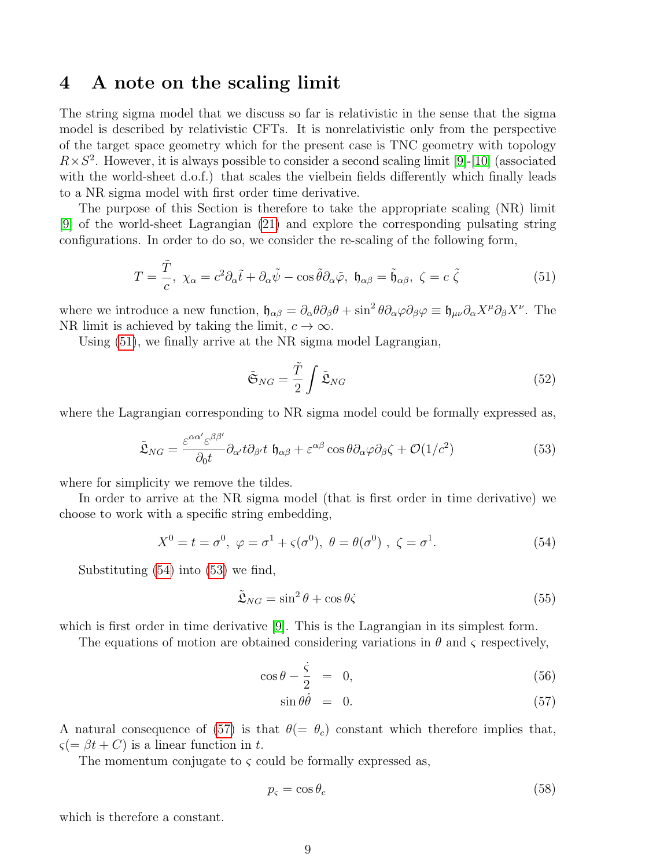### 4 A note on the scaling limit

The string sigma model that we discuss so far is relativistic in the sense that the sigma model is described by relativistic CFTs. It is nonrelativistic only from the perspective of the target space geometry which for the present case is TNC geometry with topology  $R \times S^2$ . However, it is always possible to consider a second scaling limit [\[9\]](#page-10-1)-[\[10\]](#page-10-2) (associated with the world-sheet d.o.f.) that scales the vielbein fields differently which finally leads to a NR sigma model with first order time derivative.

The purpose of this Section is therefore to take the appropriate scaling (NR) limit [\[9\]](#page-10-1) of the world-sheet Lagrangian [\(21\)](#page-3-5) and explore the corresponding pulsating string configurations. In order to do so, we consider the re-scaling of the following form,

<span id="page-8-0"></span>
$$
T = \frac{\tilde{T}}{c}, \ \chi_{\alpha} = c^2 \partial_{\alpha} \tilde{t} + \partial_{\alpha} \tilde{\psi} - \cos \tilde{\theta} \partial_{\alpha} \tilde{\varphi}, \ \mathfrak{h}_{\alpha \beta} = \tilde{\mathfrak{h}}_{\alpha \beta}, \ \zeta = c \ \tilde{\zeta}
$$
 (51)

where we introduce a new function,  $\mathfrak{h}_{\alpha\beta} = \partial_{\alpha}\theta\partial_{\beta}\theta + \sin^2\theta\partial_{\alpha}\varphi\partial_{\beta}\varphi \equiv \mathfrak{h}_{\mu\nu}\partial_{\alpha}X^{\mu}\partial_{\beta}X^{\nu}$ . The NR limit is achieved by taking the limit,  $c \to \infty$ .

Using [\(51\)](#page-8-0), we finally arrive at the NR sigma model Lagrangian,

$$
\tilde{\mathfrak{S}}_{NG} = \frac{\tilde{T}}{2} \int \tilde{\mathfrak{L}}_{NG} \tag{52}
$$

where the Lagrangian corresponding to NR sigma model could be formally expressed as,

<span id="page-8-2"></span>
$$
\tilde{\mathfrak{L}}_{NG} = \frac{\varepsilon^{\alpha \alpha'} \varepsilon^{\beta \beta'}}{\partial_0 t} \partial_{\alpha'} t \partial_{\beta'} t \, \mathfrak{h}_{\alpha \beta} + \varepsilon^{\alpha \beta} \cos \theta \partial_{\alpha} \varphi \partial_{\beta} \zeta + \mathcal{O}(1/c^2)
$$
\n(53)

where for simplicity we remove the tildes.

In order to arrive at the NR sigma model (that is first order in time derivative) we choose to work with a specific string embedding,

<span id="page-8-1"></span>
$$
X^{0} = t = \sigma^{0}, \ \varphi = \sigma^{1} + \varsigma(\sigma^{0}), \ \theta = \theta(\sigma^{0}), \ \zeta = \sigma^{1}.
$$
 (54)

Substituting [\(54\)](#page-8-1) into [\(53\)](#page-8-2) we find,

$$
\tilde{\mathfrak{L}}_{NG} = \sin^2 \theta + \cos \theta \dot{\varsigma}
$$
\n(55)

which is first order in time derivative [\[9\]](#page-10-1). This is the Lagrangian in its simplest form.

The equations of motion are obtained considering variations in  $\theta$  and  $\zeta$  respectively,

<span id="page-8-3"></span>
$$
\cos \theta - \frac{\dot{\varsigma}}{2} = 0, \tag{56}
$$

$$
\sin \theta \dot{\theta} = 0. \tag{57}
$$

A natural consequence of [\(57\)](#page-8-3) is that  $\theta(=\theta_c)$  constant which therefore implies that,  $\varsigma = \beta t + C$ ) is a linear function in t.

The momentum conjugate to  $\varsigma$  could be formally expressed as,

$$
p_{\varsigma} = \cos \theta_c \tag{58}
$$

which is therefore a constant.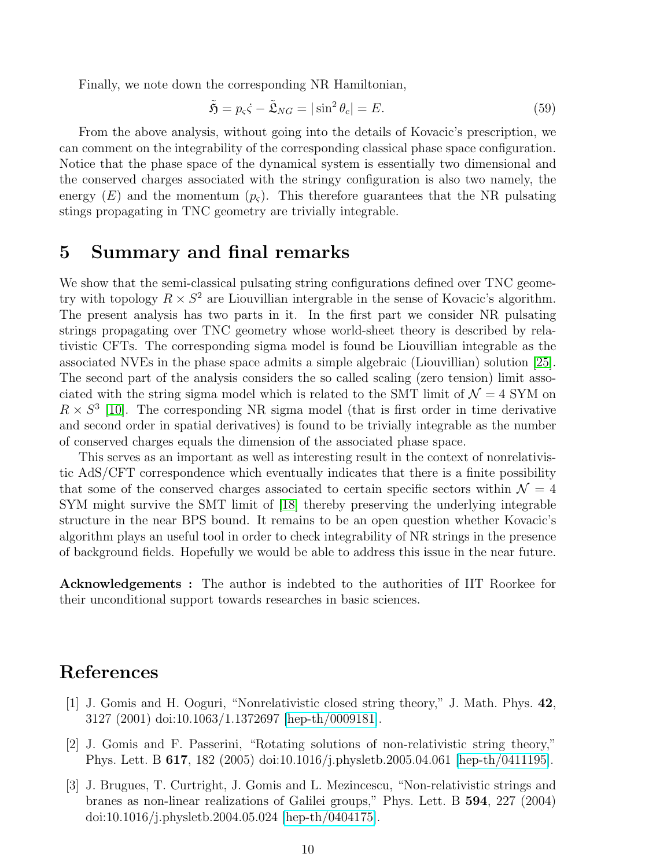Finally, we note down the corresponding NR Hamiltonian,

$$
\tilde{\mathfrak{H}} = p_{\varsigma} \dot{\varsigma} - \tilde{\mathfrak{L}}_{NG} = |\sin^2 \theta_c| = E. \tag{59}
$$

From the above analysis, without going into the details of Kovacic's prescription, we can comment on the integrability of the corresponding classical phase space configuration. Notice that the phase space of the dynamical system is essentially two dimensional and the conserved charges associated with the stringy configuration is also two namely, the energy  $(E)$  and the momentum  $(p_c)$ . This therefore guarantees that the NR pulsating stings propagating in TNC geometry are trivially integrable.

### 5 Summary and final remarks

We show that the semi-classical pulsating string configurations defined over TNC geometry with topology  $R \times S^2$  are Liouvillian intergrable in the sense of Kovacic's algorithm. The present analysis has two parts in it. In the first part we consider NR pulsating strings propagating over TNC geometry whose world-sheet theory is described by relativistic CFTs. The corresponding sigma model is found be Liouvillian integrable as the associated NVEs in the phase space admits a simple algebraic (Liouvillian) solution [\[25\]](#page-11-6). The second part of the analysis considers the so called scaling (zero tension) limit associated with the string sigma model which is related to the SMT limit of  $\mathcal{N} = 4$  SYM on  $R \times S^3$  [\[10\]](#page-10-2). The corresponding NR sigma model (that is first order in time derivative and second order in spatial derivatives) is found to be trivially integrable as the number of conserved charges equals the dimension of the associated phase space.

This serves as an important as well as interesting result in the context of nonrelativistic AdS/CFT correspondence which eventually indicates that there is a finite possibility that some of the conserved charges associated to certain specific sectors within  $\mathcal{N} = 4$ SYM might survive the SMT limit of [\[18\]](#page-11-1) thereby preserving the underlying integrable structure in the near BPS bound. It remains to be an open question whether Kovacic's algorithm plays an useful tool in order to check integrability of NR strings in the presence of background fields. Hopefully we would be able to address this issue in the near future.

Acknowledgements : The author is indebted to the authorities of IIT Roorkee for their unconditional support towards researches in basic sciences.

# References

- <span id="page-9-0"></span>[1] J. Gomis and H. Ooguri, "Nonrelativistic closed string theory," J. Math. Phys. 42, 3127 (2001) doi:10.1063/1.1372697 [\[hep-th/0009181\]](http://arxiv.org/abs/hep-th/0009181).
- [2] J. Gomis and F. Passerini, "Rotating solutions of non-relativistic string theory," Phys. Lett. B 617, 182 (2005) doi:10.1016/j.physletb.2005.04.061 [\[hep-th/0411195\]](http://arxiv.org/abs/hep-th/0411195).
- [3] J. Brugues, T. Curtright, J. Gomis and L. Mezincescu, "Non-relativistic strings and branes as non-linear realizations of Galilei groups," Phys. Lett. B 594, 227 (2004) doi:10.1016/j.physletb.2004.05.024 [\[hep-th/0404175\]](http://arxiv.org/abs/hep-th/0404175).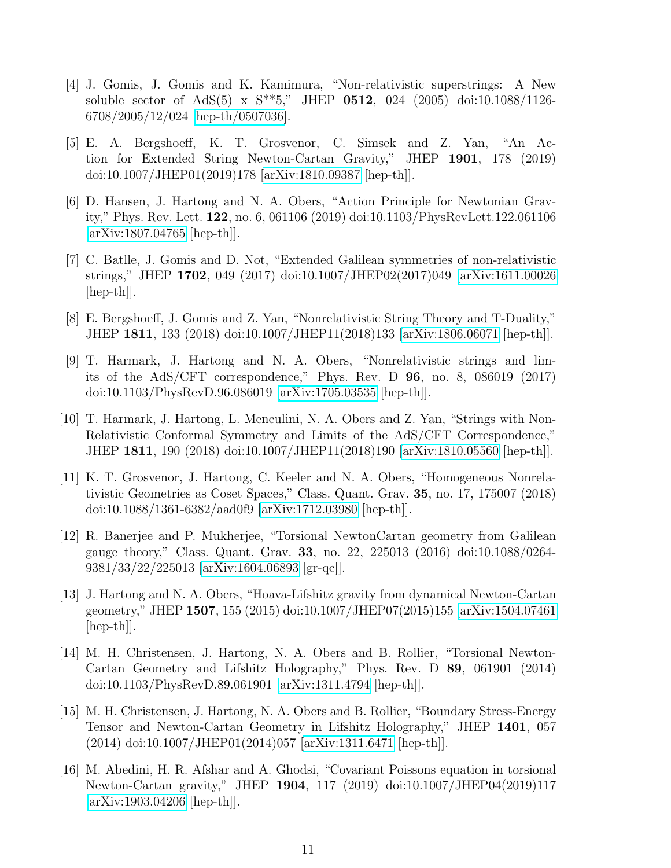- [4] J. Gomis, J. Gomis and K. Kamimura, "Non-relativistic superstrings: A New soluble sector of AdS(5) x S\*\*5," JHEP 0512, 024 (2005) doi:10.1088/1126- 6708/2005/12/024 [\[hep-th/0507036\]](http://arxiv.org/abs/hep-th/0507036).
- [5] E. A. Bergshoeff, K. T. Grosvenor, C. Simsek and Z. Yan, "An Action for Extended String Newton-Cartan Gravity," JHEP 1901, 178 (2019) doi:10.1007/JHEP01(2019)178 [\[arXiv:1810.09387](http://arxiv.org/abs/1810.09387) [hep-th]].
- [6] D. Hansen, J. Hartong and N. A. Obers, "Action Principle for Newtonian Gravity," Phys. Rev. Lett. 122, no. 6, 061106 (2019) doi:10.1103/PhysRevLett.122.061106 [\[arXiv:1807.04765](http://arxiv.org/abs/1807.04765) [hep-th]].
- [7] C. Batlle, J. Gomis and D. Not, "Extended Galilean symmetries of non-relativistic strings," JHEP 1702, 049 (2017) doi:10.1007/JHEP02(2017)049 [\[arXiv:1611.00026](http://arxiv.org/abs/1611.00026)  $\vert \text{hep-th} \vert$ .
- <span id="page-10-0"></span>[8] E. Bergshoeff, J. Gomis and Z. Yan, "Nonrelativistic String Theory and T-Duality," JHEP 1811, 133 (2018) doi:10.1007/JHEP11(2018)133 [\[arXiv:1806.06071](http://arxiv.org/abs/1806.06071) [hep-th]].
- <span id="page-10-1"></span>[9] T. Harmark, J. Hartong and N. A. Obers, "Nonrelativistic strings and limits of the AdS/CFT correspondence," Phys. Rev. D 96, no. 8, 086019 (2017) doi:10.1103/PhysRevD.96.086019 [\[arXiv:1705.03535](http://arxiv.org/abs/1705.03535) [hep-th]].
- <span id="page-10-2"></span>[10] T. Harmark, J. Hartong, L. Menculini, N. A. Obers and Z. Yan, "Strings with Non-Relativistic Conformal Symmetry and Limits of the AdS/CFT Correspondence," JHEP 1811, 190 (2018) doi:10.1007/JHEP11(2018)190 [\[arXiv:1810.05560](http://arxiv.org/abs/1810.05560) [hep-th]].
- <span id="page-10-3"></span>[11] K. T. Grosvenor, J. Hartong, C. Keeler and N. A. Obers, "Homogeneous Nonrelativistic Geometries as Coset Spaces," Class. Quant. Grav. 35, no. 17, 175007 (2018) doi:10.1088/1361-6382/aad0f9 [\[arXiv:1712.03980](http://arxiv.org/abs/1712.03980) [hep-th]].
- [12] R. Banerjee and P. Mukherjee, "Torsional NewtonCartan geometry from Galilean gauge theory," Class. Quant. Grav. 33, no. 22, 225013 (2016) doi:10.1088/0264- 9381/33/22/225013 [\[arXiv:1604.06893](http://arxiv.org/abs/1604.06893) [gr-qc]].
- [13] J. Hartong and N. A. Obers, "Hoava-Lifshitz gravity from dynamical Newton-Cartan geometry," JHEP 1507, 155 (2015) doi:10.1007/JHEP07(2015)155 [\[arXiv:1504.07461](http://arxiv.org/abs/1504.07461) [hep-th]].
- [14] M. H. Christensen, J. Hartong, N. A. Obers and B. Rollier, "Torsional Newton-Cartan Geometry and Lifshitz Holography," Phys. Rev. D 89, 061901 (2014) doi:10.1103/PhysRevD.89.061901 [\[arXiv:1311.4794](http://arxiv.org/abs/1311.4794) [hep-th]].
- [15] M. H. Christensen, J. Hartong, N. A. Obers and B. Rollier, "Boundary Stress-Energy Tensor and Newton-Cartan Geometry in Lifshitz Holography," JHEP 1401, 057 (2014) doi:10.1007/JHEP01(2014)057 [\[arXiv:1311.6471](http://arxiv.org/abs/1311.6471) [hep-th]].
- [16] M. Abedini, H. R. Afshar and A. Ghodsi, "Covariant Poissons equation in torsional Newton-Cartan gravity," JHEP 1904, 117 (2019) doi:10.1007/JHEP04(2019)117 [\[arXiv:1903.04206](http://arxiv.org/abs/1903.04206) [hep-th]].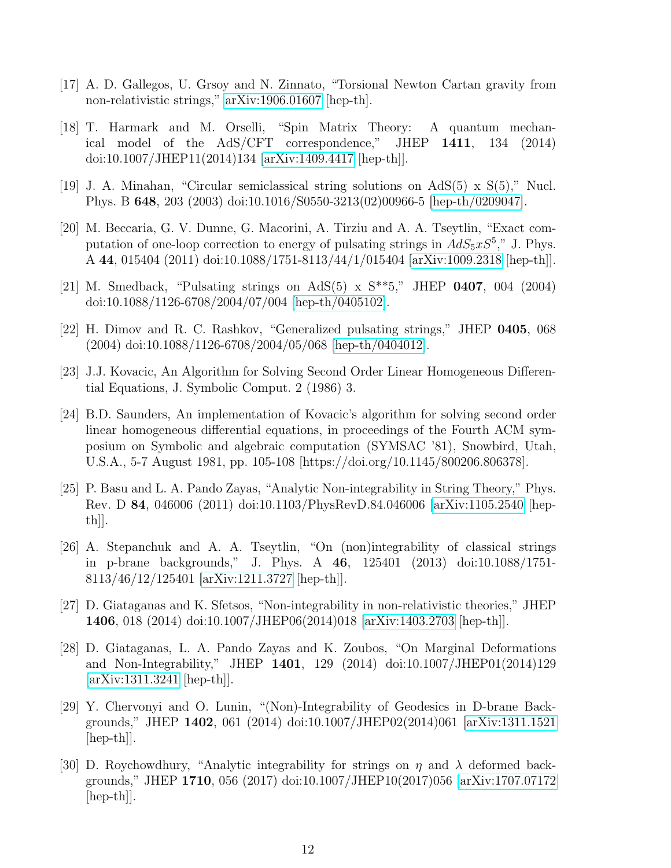- <span id="page-11-0"></span>[17] A. D. Gallegos, U. Grsoy and N. Zinnato, "Torsional Newton Cartan gravity from non-relativistic strings," [arXiv:1906.01607](http://arxiv.org/abs/1906.01607) [hep-th].
- <span id="page-11-1"></span>[18] T. Harmark and M. Orselli, "Spin Matrix Theory: A quantum mechanical model of the AdS/CFT correspondence," JHEP 1411, 134 (2014) doi:10.1007/JHEP11(2014)134 [\[arXiv:1409.4417](http://arxiv.org/abs/1409.4417) [hep-th]].
- <span id="page-11-2"></span>[19] J. A. Minahan, "Circular semiclassical string solutions on AdS(5) x S(5)," Nucl. Phys. B 648, 203 (2003) doi:10.1016/S0550-3213(02)00966-5 [\[hep-th/0209047\]](http://arxiv.org/abs/hep-th/0209047).
- <span id="page-11-7"></span>[20] M. Beccaria, G. V. Dunne, G. Macorini, A. Tirziu and A. A. Tseytlin, "Exact computation of one-loop correction to energy of pulsating strings in  $AdS_5xS^5$ ," J. Phys. A 44, 015404 (2011) doi:10.1088/1751-8113/44/1/015404 [\[arXiv:1009.2318](http://arxiv.org/abs/1009.2318) [hep-th]].
- [21] M. Smedback, "Pulsating strings on AdS(5) x  $S^{**}5$ ," JHEP 0407, 004 (2004) doi:10.1088/1126-6708/2004/07/004 [\[hep-th/0405102\]](http://arxiv.org/abs/hep-th/0405102).
- <span id="page-11-3"></span>[22] H. Dimov and R. C. Rashkov, "Generalized pulsating strings," JHEP 0405, 068 (2004) doi:10.1088/1126-6708/2004/05/068 [\[hep-th/0404012\]](http://arxiv.org/abs/hep-th/0404012).
- <span id="page-11-4"></span>[23] J.J. Kovacic, An Algorithm for Solving Second Order Linear Homogeneous Differential Equations, J. Symbolic Comput. 2 (1986) 3.
- <span id="page-11-5"></span>[24] B.D. Saunders, An implementation of Kovacic's algorithm for solving second order linear homogeneous differential equations, in proceedings of the Fourth ACM symposium on Symbolic and algebraic computation (SYMSAC '81), Snowbird, Utah, U.S.A., 5-7 August 1981, pp. 105-108 [https://doi.org/10.1145/800206.806378].
- <span id="page-11-6"></span>[25] P. Basu and L. A. Pando Zayas, "Analytic Non-integrability in String Theory," Phys. Rev. D 84, 046006 (2011) doi:10.1103/PhysRevD.84.046006 [\[arXiv:1105.2540](http://arxiv.org/abs/1105.2540) [hep $th$ ].
- <span id="page-11-8"></span>[26] A. Stepanchuk and A. A. Tseytlin, "On (non)integrability of classical strings in p-brane backgrounds," J. Phys. A 46, 125401 (2013) doi:10.1088/1751- 8113/46/12/125401 [\[arXiv:1211.3727](http://arxiv.org/abs/1211.3727) [hep-th]].
- [27] D. Giataganas and K. Sfetsos, "Non-integrability in non-relativistic theories," JHEP 1406, 018 (2014) doi:10.1007/JHEP06(2014)018 [\[arXiv:1403.2703](http://arxiv.org/abs/1403.2703) [hep-th]].
- [28] D. Giataganas, L. A. Pando Zayas and K. Zoubos, "On Marginal Deformations and Non-Integrability," JHEP 1401, 129 (2014) doi:10.1007/JHEP01(2014)129 [\[arXiv:1311.3241](http://arxiv.org/abs/1311.3241) [hep-th]].
- [29] Y. Chervonyi and O. Lunin, "(Non)-Integrability of Geodesics in D-brane Backgrounds," JHEP 1402, 061 (2014) doi:10.1007/JHEP02(2014)061 [\[arXiv:1311.1521](http://arxiv.org/abs/1311.1521)  $\vert \text{hep-th} \vert$ .
- <span id="page-11-9"></span>[30] D. Roychowdhury, "Analytic integrability for strings on  $\eta$  and  $\lambda$  deformed backgrounds," JHEP 1710, 056 (2017) doi:10.1007/JHEP10(2017)056 [\[arXiv:1707.07172](http://arxiv.org/abs/1707.07172)  $\vert \text{hep-th} \vert$ .